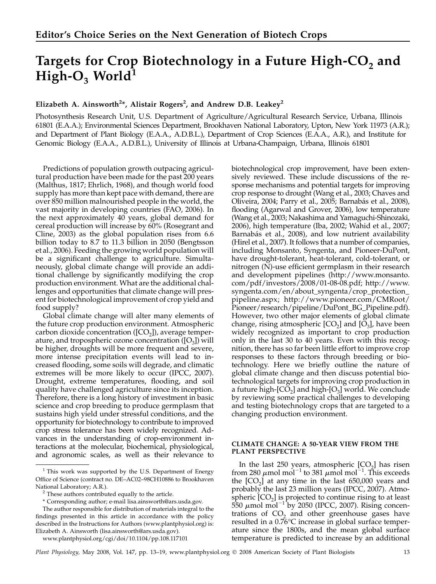# Targets for Crop Biotechnology in a Future High- $CO<sub>2</sub>$  and High- $O_3$  World<sup>1</sup>

## Elizabeth A. Ainsworth<sup>2\*</sup>, Alistair Rogers<sup>2</sup>, and Andrew D.B. Leakey<sup>2</sup>

Photosynthesis Research Unit, U.S. Department of Agriculture/Agricultural Research Service, Urbana, Illinois 61801 (E.A.A.); Environmental Sciences Department, Brookhaven National Laboratory, Upton, New York 11973 (A.R.); and Department of Plant Biology (E.A.A., A.D.B.L.), Department of Crop Sciences (E.A.A., A.R.), and Institute for Genomic Biology (E.A.A., A.D.B.L.), University of Illinois at Urbana-Champaign, Urbana, Illinois 61801

Predictions of population growth outpacing agricultural production have been made for the past 200 years (Malthus, 1817; Ehrlich, 1968), and though world food supply has more than kept pace with demand, there are over 850 million malnourished people in the world, the vast majority in developing countries (FAO, 2006). In the next approximately 40 years, global demand for cereal production will increase by 60% (Rosegrant and Cline, 2003) as the global population rises from 6.6 billion today to 8.7 to 11.3 billion in 2050 (Bengtsson et al., 2006). Feeding the growing world population will be a significant challenge to agriculture. Simultaneously, global climate change will provide an additional challenge by significantly modifying the crop production environment. What are the additional challenges and opportunities that climate change will present for biotechnological improvement of crop yield and food supply?

Global climate change will alter many elements of the future crop production environment. Atmospheric carbon dioxide concentration ( $[CO<sub>2</sub>]$ ), average temperature, and tropospheric ozone concentration  $([O_3])$  will be higher, droughts will be more frequent and severe, more intense precipitation events will lead to increased flooding, some soils will degrade, and climatic extremes will be more likely to occur (IPCC, 2007). Drought, extreme temperatures, flooding, and soil quality have challenged agriculture since its inception. Therefore, there is a long history of investment in basic science and crop breeding to produce germplasm that sustains high yield under stressful conditions, and the opportunity for biotechnology to contribute to improved crop stress tolerance has been widely recognized. Advances in the understanding of crop-environment interactions at the molecular, biochemical, physiological, and agronomic scales, as well as their relevance to

www.plantphysiol.org/cgi/doi/10.1104/pp.108.117101

biotechnological crop improvement, have been extensively reviewed. These include discussions of the response mechanisms and potential targets for improving crop response to drought (Wang et al., 2003; Chaves and Oliveira, 2004; Parry et al., 2005; Barnabás et al., 2008), flooding (Agarwal and Grover, 2006), low temperature (Wang et al., 2003; Nakashima and Yamaguchi-Shinozaki, 2006), high temperature (Iba, 2002; Wahid et al., 2007; Barnabás et al., 2008), and low nutrient availability (Hirel et al., 2007). It follows that a number of companies, including Monsanto, Syngenta, and Pioneer-DuPont, have drought-tolerant, heat-tolerant, cold-tolerant, or nitrogen (N)-use efficient germplasm in their research and development pipelines (http://www.monsanto. com/pdf/investors/2008/01-08-08.pdf; http://www. syngenta.com/en/about\_syngenta/crop\_protection\_ pipeline.aspx; http://www.pioneer.com/CMRoot/ Pioneer/research/pipeline/DuPont\_BG\_Pipeline.pdf). However, two other major elements of global climate change, rising atmospheric  $[CO<sub>2</sub>]$  and  $[O<sub>3</sub>]$ , have been widely recognized as important to crop production only in the last 30 to 40 years. Even with this recognition, there has so far been little effort to improve crop responses to these factors through breeding or biotechnology. Here we briefly outline the nature of global climate change and then discuss potential biotechnological targets for improving crop production in a future high- $[CO_2]$  and high- $[O_3]$  world. We conclude by reviewing some practical challenges to developing and testing biotechnology crops that are targeted to a changing production environment.

#### CLIMATE CHANGE: A 50-YEAR VIEW FROM THE PLANT PERSPECTIVE

In the last 250 years, atmospheric  $[CO<sub>2</sub>]$  has risen from 280  $\mu$ mol mol<sup>-1</sup> to 381  $\mu$ mol mol<sup>-1</sup>. This exceeds the  $[CO<sub>2</sub>]$  at any time in the last 650,000 years and probably the last 23 million years (IPCC, 2007). Atmospheric  $[CO<sub>2</sub>]$  is projected to continue rising to at least  $550 \mu$ mol mol<sup>-1</sup> by 2050 (IPCC, 2007). Rising concentrations of  $CO<sub>2</sub>$  and other greenhouse gases have resulted in a 0.76°C increase in global surface temperature since the 1800s, and the mean global surface temperature is predicted to increase by an additional

Plant Physiology, May 2008, Vol. 147, pp. 13–19, www.plantphysiol.org © 2008 American Society of Plant Biologists 13

 $1$  This work was supported by the U.S. Department of Energy Office of Science (contract no. DE–AC02–98CH10886 to Brookhaven National Laboratory; A.R.).<br><sup>2</sup> These authors contributed equally to the article.

<sup>\*</sup> Corresponding author; e-mail lisa.ainsworth@ars.usda.gov.

The author responsible for distribution of materials integral to the findings presented in this article in accordance with the policy described in the Instructions for Authors (www.plantphysiol.org) is: Elizabeth A. Ainsworth (lisa.ainsworth@ars.usda.gov).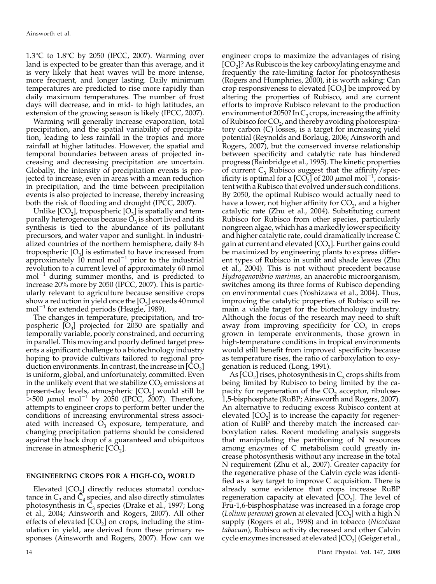1.3°C to 1.8°C by 2050 (IPCC, 2007). Warming over land is expected to be greater than this average, and it is very likely that heat waves will be more intense, more frequent, and longer lasting. Daily minimum temperatures are predicted to rise more rapidly than daily maximum temperatures. The number of frost days will decrease, and in mid- to high latitudes, an extension of the growing season is likely (IPCC, 2007).

Warming will generally increase evaporation, total precipitation, and the spatial variability of precipitation, leading to less rainfall in the tropics and more rainfall at higher latitudes. However, the spatial and temporal boundaries between areas of projected increasing and decreasing precipitation are uncertain. Globally, the intensity of precipitation events is projected to increase, even in areas with a mean reduction in precipitation, and the time between precipitation events is also projected to increase, thereby increasing both the risk of flooding and drought (IPCC, 2007).

Unlike  $[CO_2]$ , tropospheric  $[O_3]$  is spatially and temporally heterogeneous because  $O_3$  is short lived and its synthesis is tied to the abundance of its pollutant precursors, and water vapor and sunlight. In industrialized countries of the northern hemisphere, daily 8-h tropospheric  $[O_3]$  is estimated to have increased from approximately  $10$  nmol mol<sup>-1</sup> prior to the industrial revolution to a current level of approximately 60 nmol  $mol^{-1}$  during summer months, and is predicted to increase 20% more by 2050 (IPCC, 2007). This is particularly relevant to agriculture because sensitive crops show a reduction in yield once the  $[O_3]$  exceeds 40 nmol  $mol^{-1}$  for extended periods (Heagle, 1989).

The changes in temperature, precipitation, and tropospheric  $[O_3]$  projected for 2050 are spatially and temporally variable, poorly constrained, and occurring in parallel. This moving and poorly defined target presents a significant challenge to a biotechnology industry hoping to provide cultivars tailored to regional production environments. In contrast, the increase in  $[CO<sub>2</sub>]$ is uniform, global, and unfortunately, committed. Even in the unlikely event that we stabilize  $CO<sub>2</sub>$  emissions at present-day levels, atmospheric  $[CO<sub>2</sub>]$  would still be  $>$ 500  $\mu$ mol mol<sup>-1</sup> by 2050 (IPCC, 2007). Therefore, attempts to engineer crops to perform better under the conditions of increasing environmental stress associated with increased  $\overline{O_3}$  exposure, temperature, and changing precipitation patterns should be considered against the back drop of a guaranteed and ubiquitous increase in atmospheric  $[CO<sub>2</sub>]$ .

### ENGINEERING CROPS FOR A HIGH-CO<sub>2</sub> WORLD

Elevated  $[CO<sub>2</sub>]$  directly reduces stomatal conductance in  $C_3$  and  $\tilde{C}_4$  species, and also directly stimulates photosynthesis in  $\overline{C}_3$  species (Drake et al., 1997; Long et al., 2004; Ainsworth and Rogers, 2007). All other effects of elevated  $[CO<sub>2</sub>]$  on crops, including the stimulation in yield, are derived from these primary responses (Ainsworth and Rogers, 2007). How can we

engineer crops to maximize the advantages of rising  $[CO<sub>2</sub>]$ ? As Rubisco is the key carboxylating enzyme and frequently the rate-limiting factor for photosynthesis (Rogers and Humphries, 2000), it is worth asking: Can crop responsiveness to elevated  $[CO_2]$  be improved by altering the properties of Rubisco, and are current efforts to improve Rubisco relevant to the production environment of 2050? In  $C_3$  crops, increasing the affinity of Rubisco for  $CO<sub>2</sub>$ , and thereby avoiding photorespiratory carbon (C) losses, is a target for increasing yield potential (Reynolds and Borlaug, 2006; Ainsworth and Rogers, 2007), but the conserved inverse relationship between specificity and catalytic rate has hindered progress (Bainbridge et al., 1995). The kinetic properties of current  $C_3$  Rubisco suggest that the affinity/specificity is optimal for a  $[CO_2]$  of 200  $\mu$ mol mol<sup>-1</sup>, consistent with a Rubisco that evolved under such conditions. By 2050, the optimal Rubisco would actually need to have a lower, not higher affinity for  $CO<sub>2</sub>$ , and a higher catalytic rate (Zhu et al., 2004). Substituting current Rubisco for Rubisco from other species, particularly nongreen algae, which has a markedly lower specificity and higher catalytic rate, could dramatically increase C gain at current and elevated  $[CO<sub>2</sub>]$ . Further gains could be maximized by engineering plants to express different types of Rubisco in sunlit and shade leaves (Zhu et al., 2004). This is not without precedent because Hydrogenovibrio marinus, an anaerobic microorganism, switches among its three forms of Rubisco depending on environmental cues (Yoshizawa et al., 2004). Thus, improving the catalytic properties of Rubisco will remain a viable target for the biotechnology industry. Although the focus of the research may need to shift away from improving specificity for  $CO<sub>2</sub>$  in crops grown in temperate environments, those grown in high-temperature conditions in tropical environments would still benefit from improved specificity because as temperature rises, the ratio of carboxylation to oxygenation is reduced (Long, 1991).

As  $[CO<sub>2</sub>]$  rises, photosynthesis in  $C_3$  crops shifts from being limited by Rubisco to being limited by the capacity for regeneration of the  $CO<sub>2</sub>$  acceptor, ribulose-1,5-bisphosphate (RuBP; Ainsworth and Rogers, 2007). An alternative to reducing excess Rubisco content at elevated  $[CO<sub>2</sub>]$  is to increase the capacity for regeneration of RuBP and thereby match the increased carboxylation rates. Recent modeling analysis suggests that manipulating the partitioning of N resources among enzymes of C metabolism could greatly increase photosynthesis without any increase in the total N requirement (Zhu et al., 2007). Greater capacity for the regenerative phase of the Calvin cycle was identified as a key target to improve C acquisition. There is already some evidence that crops increase RuBP regeneration capacity at elevated  $[CO<sub>2</sub>]$ . The level of Fru-1,6-bisphosphatase was increased in a forage crop (*Lolium perenne*) grown at elevated  $[CO<sub>2</sub>]$  with a high N supply (Rogers et al., 1998) and in tobacco (Nicotiana tabacum), Rubisco activity decreased and other Calvin cycle enzymes increased at elevated [CO $_2$ ] (Geiger et al.,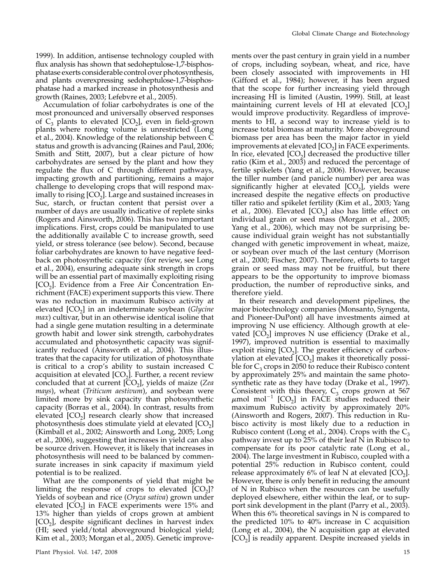1999). In addition, antisense technology coupled with flux analysis has shown that sedoheptulose-1,7-bisphosphatase exerts considerable control over photosynthesis, and plants overexpressing sedoheptulose-1,7-bisphosphatase had a marked increase in photosynthesis and growth (Raines, 2003; Lefebvre et al., 2005).

Accumulation of foliar carbohydrates is one of the most pronounced and universally observed responses of  $C_3$  plants to elevated  $[CO_2]$ , even in field-grown plants where rooting volume is unrestricted (Long et al., 2004). Knowledge of the relationship between C status and growth is advancing (Raines and Paul, 2006; Smith and Stitt, 2007), but a clear picture of how carbohydrates are sensed by the plant and how they regulate the flux of C through different pathways, impacting growth and partitioning, remains a major challenge to developing crops that will respond maximally to rising  $[CO<sub>2</sub>]$ . Large and sustained increases in Suc, starch, or fructan content that persist over a number of days are usually indicative of replete sinks (Rogers and Ainsworth, 2006). This has two important implications. First, crops could be manipulated to use the additionally available C to increase growth, seed yield, or stress tolerance (see below). Second, because foliar carbohydrates are known to have negative feedback on photosynthetic capacity (for review, see Long et al., 2004), ensuring adequate sink strength in crops will be an essential part of maximally exploiting rising  $[CO<sub>2</sub>]$ . Evidence from a Free Air Concentration Enrichment (FACE) experiment supports this view. There was no reduction in maximum Rubisco activity at elevated  $[CO<sub>2</sub>]$  in an indeterminate soybean (Glycine max) cultivar, but in an otherwise identical isoline that had a single gene mutation resulting in a determinate growth habit and lower sink strength, carbohydrates accumulated and photosynthetic capacity was significantly reduced (Ainsworth et al., 2004). This illustrates that the capacity for utilization of photosynthate is critical to a crop's ability to sustain increased C acquisition at elevated  $[CO<sub>2</sub>]$ . Further, a recent review concluded that at current  $[CO_2]$ , yields of maize (Zea mays), wheat (Triticum aestivum), and soybean were limited more by sink capacity than photosynthetic capacity (Borras et al., 2004). In contrast, results from elevated  $[CO<sub>2</sub>]$  research clearly show that increased photosynthesis does stimulate yield at elevated  $[CO<sub>2</sub>]$ (Kimball et al., 2002; Ainsworth and Long, 2005; Long et al., 2006), suggesting that increases in yield can also be source driven. However, it is likely that increases in photosynthesis will need to be balanced by commensurate increases in sink capacity if maximum yield potential is to be realized.

What are the components of yield that might be limiting the response of crops to elevated  $[CO<sub>2</sub>]$ ? Yields of soybean and rice (Oryza sativa) grown under elevated  $[CO<sub>2</sub>]$  in FACE experiments were 15% and 13% higher than yields of crops grown at ambient  $[CO<sub>2</sub>]$ , despite significant declines in harvest index (HI; seed yield/total aboveground biological yield; Kim et al., 2003; Morgan et al., 2005). Genetic improve-

ments over the past century in grain yield in a number of crops, including soybean, wheat, and rice, have been closely associated with improvements in HI (Gifford et al., 1984); however, it has been argued that the scope for further increasing yield through increasing HI is limited (Austin, 1999). Still, at least maintaining current levels of HI at elevated  $[CO<sub>2</sub>]$ would improve productivity. Regardless of improvements to HI, a second way to increase yield is to increase total biomass at maturity. More aboveground biomass per area has been the major factor in yield improvements at elevated  $[CO<sub>2</sub>]$  in FACE experiments. In rice, elevated  $[CO<sub>2</sub>]$  decreased the productive tiller ratio (Kim et al., 2003) and reduced the percentage of fertile spikelets (Yang et al., 2006). However, because the tiller number (and panicle number) per area was significantly higher at elevated  $[CO<sub>2</sub>]$ , yields were increased despite the negative effects on productive tiller ratio and spikelet fertility (Kim et al., 2003; Yang et al., 2006). Elevated  $[CO<sub>2</sub>]$  also has little effect on individual grain or seed mass (Morgan et al., 2005; Yang et al., 2006), which may not be surprising because individual grain weight has not substantially changed with genetic improvement in wheat, maize, or soybean over much of the last century (Morrison et al., 2000; Fischer, 2007). Therefore, efforts to target grain or seed mass may not be fruitful, but there appears to be the opportunity to improve biomass production, the number of reproductive sinks, and therefore yield.

In their research and development pipelines, the major biotechnology companies (Monsanto, Syngenta, and Pioneer-DuPont) all have investments aimed at improving N use efficiency. Although growth at elevated  $[CO<sub>2</sub>]$  improves N use efficiency (Drake et al., 1997), improved nutrition is essential to maximally exploit rising  $[CO<sub>2</sub>]$ . The greater efficiency of carboxylation at elevated  $[CO<sub>2</sub>]$  makes it theoretically possible for  $C_3$  crops in 2050 to reduce their Rubisco content by approximately 25% and maintain the same photosynthetic rate as they have today (Drake et al., 1997). Consistent with this theory,  $C_3$  crops grown at 567  $\mu$ mol mol<sup>-1</sup> [CO<sub>2</sub>] in FACE studies reduced their maximum Rubisco activity by approximately 20% (Ainsworth and Rogers, 2007). This reduction in Rubisco activity is most likely due to a reduction in Rubisco content (Long et al., 2004). Crops with the  $C_3$ pathway invest up to 25% of their leaf N in Rubisco to compensate for its poor catalytic rate (Long et al., 2004). The large investment in Rubisco, coupled with a potential 25% reduction in Rubisco content, could release approximately  $6\%$  of leaf N at elevated  $[CO<sub>2</sub>]$ . However, there is only benefit in reducing the amount of N in Rubisco when the resources can be usefully deployed elsewhere, either within the leaf, or to support sink development in the plant (Parry et al., 2003). When this  $6\%$  theoretical savings in N is compared to the predicted 10% to 40% increase in C acquisition (Long et al., 2004), the N acquisition gap at elevated  $[CO<sub>2</sub>]$  is readily apparent. Despite increased yields in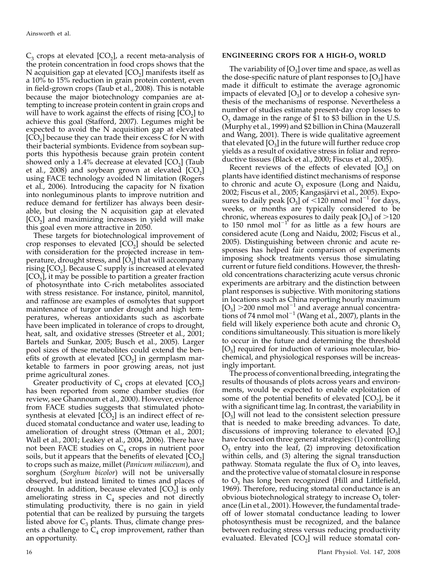$C_3$  crops at elevated  $[CO_2]$ , a recent meta-analysis of the protein concentration in food crops shows that the N acquisition gap at elevated  $[CO<sub>2</sub>]$  manifests itself as a 10% to 15% reduction in grain protein content, even in field-grown crops (Taub et al., 2008). This is notable because the major biotechnology companies are attempting to increase protein content in grain crops and will have to work against the effects of rising  $[CO<sub>2</sub>]$  to achieve this goal (Stafford, 2007). Legumes might be expected to avoid the N acquisition gap at elevated  $[CO<sub>2</sub>]$  because they can trade their excess C for N with their bacterial symbionts. Evidence from soybean supports this hypothesis because grain protein content showed only a 1.4% decrease at elevated  $[CO<sub>2</sub>]$  (Taub et al., 2008) and soybean grown at elevated  $[CO<sub>2</sub>]$ using FACE technology avoided N limitation (Rogers et al., 2006). Introducing the capacity for N fixation into nonleguminous plants to improve nutrition and reduce demand for fertilizer has always been desirable, but closing the N acquisition gap at elevated  $[CO<sub>2</sub>]$  and maximizing increases in yield will make this goal even more attractive in 2050.

These targets for biotechnological improvement of crop responses to elevated  $[CO<sub>2</sub>]$  should be selected with consideration for the projected increase in temperature, drought stress, and  $[O_3]$  that will accompany rising  $[CO<sub>2</sub>]$ . Because C supply is increased at elevated  $[CO<sub>2</sub>]$ , it may be possible to partition a greater fraction of photosynthate into C-rich metabolites associated with stress resistance. For instance, pinitol, mannitol, and raffinose are examples of osmolytes that support maintenance of turgor under drought and high temperatures, whereas antioxidants such as ascorbate have been implicated in tolerance of crops to drought, heat, salt, and oxidative stresses (Streeter et al., 2001; Bartels and Sunkar, 2005; Busch et al., 2005). Larger pool sizes of these metabolites could extend the benefits of growth at elevated  $[CO<sub>2</sub>]$  in germplasm marketable to farmers in poor growing areas, not just prime agricultural zones.

Greater productivity of  $C_4$  crops at elevated  $[CO_2]$ has been reported from some chamber studies (for review, see Ghannoum et al., 2000). However, evidence from FACE studies suggests that stimulated photosynthesis at elevated  $[\widetilde{CO}_2]$  is an indirect effect of reduced stomatal conductance and water use, leading to amelioration of drought stress (Ottman et al., 2001; Wall et al., 2001; Leakey et al., 2004, 2006). There have not been FACE studies on  $C_4$  crops in nutrient poor soils, but it appears that the benefits of elevated  $[\rm{CO}_2]$ to crops such as maize, millet (Panicum miliaceum), and sorghum (Sorghum bicolor) will not be universally observed, but instead limited to times and places of drought. In addition, because elevated  $[CO<sub>2</sub>]$  is only ameliorating stress in  $C_4$  species and not directly stimulating productivity, there is no gain in yield potential that can be realized by pursuing the targets listed above for  $C_3$  plants. Thus, climate change presents a challenge to  $C_4$  crop improvement, rather than an opportunity.

#### ENGINEERING CROPS FOR A HIGH- $O<sub>3</sub>$  WORLD

The variability of  $[O_3]$  over time and space, as well as the dose-specific nature of plant responses to  $[O_3]$  have made it difficult to estimate the average agronomic impacts of elevated  $[O_3]$  or to develop a cohesive synthesis of the mechanisms of response. Nevertheless a number of studies estimate present-day crop losses to  $O<sub>3</sub>$  damage in the range of \$1 to \$3 billion in the U.S. (Murphy et al., 1999) and \$2 billion in China (Mauzerall and Wang, 2001). There is wide qualitative agreement that elevated  $[O_3]$  in the future will further reduce crop yields as a result of oxidative stress in foliar and reproductive tissues (Black et al., 2000; Fiscus et al., 2005).

Recent reviews of the effects of elevated  $[O_3]$  on plants have identified distinct mechanisms of response to chronic and acute  $O_3$  exposure (Long and Naidu, 2002; Fiscus et al., 2005; Kangasjärvi et al., 2005). Exposures to daily peak  $[O_3]$  of <120 nmol mol<sup>-1</sup> for days, weeks, or months are typically considered to be chronic, whereas exposures to daily peak  $[O_3]$  of  $>120$ to 150 nmol mol<sup> $-1$ </sup> for as little as a few hours are considered acute (Long and Naidu, 2002; Fiscus et al., 2005). Distinguishing between chronic and acute responses has helped fair comparison of experiments imposing shock treatments versus those simulating current or future field conditions. However, the threshold concentrations characterizing acute versus chronic experiments are arbitrary and the distinction between plant responses is subjective. With monitoring stations in locations such as China reporting hourly maximum  $[O_3] > 200$  nmol mol<sup>-1</sup> and average annual concentrations of 74 nmol mol<sup>-1</sup> (Wang et al., 2007), plants in the field will likely experience both acute and chronic  $O_3$ conditions simultaneously. This situation is more likely to occur in the future and determining the threshold  $[O_3]$  required for induction of various molecular, biochemical, and physiological responses will be increasingly important.

The process of conventional breeding, integrating the results of thousands of plots across years and environments, would be expected to enable exploitation of some of the potential benefits of elevated  $[CO<sub>2</sub>]$ , be it with a significant time lag. In contrast, the variability in  $[O_3]$  will not lead to the consistent selection pressure that is needed to make breeding advances. To date, discussions of improving tolerance to elevated  $[O_3]$ have focused on three general strategies: (1) controlling  $O_3$  entry into the leaf, (2) improving detoxification within cells, and (3) altering the signal transduction pathway. Stomata regulate the flux of  $O_3$  into leaves, and the protective value of stomatal closure in response to  $O_3$  has long been recognized (Hill and Littlefield, 1969). Therefore, reducing stomatal conductance is an obvious biotechnological strategy to increase  $O_3$  tolerance (Lin et al., 2001). However, the fundamental tradeoff of lower stomatal conductance leading to lower photosynthesis must be recognized, and the balance between reducing stress versus reducing productivity evaluated. Elevated [CO<sub>2</sub>] will reduce stomatal con-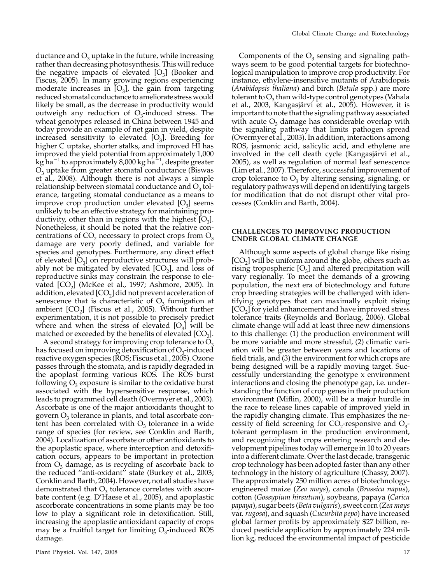ductance and  $O_3$  uptake in the future, while increasing rather than decreasing photosynthesis. This will reduce the negative impacts of elevated  $[O_3]$  (Booker and Fiscus, 2005). In many growing regions experiencing moderate increases in  $[O_3]$ , the gain from targeting reduced stomatal conductance to ameliorate stresswould likely be small, as the decrease in productivity would outweigh any reduction of  $O_3$ -induced stress. The wheat genotypes released in China between 1945 and today provide an example of net gain in yield, despite increased sensitivity to elevated  $[O_3]$ . Breeding for higher C uptake, shorter stalks, and improved HI has improved the yield potential from approximately 1,000 kg ha $^{-1}$  to approximately 8,000 kg ha $^{-1}$ , despite greater  $O<sub>3</sub>$  uptake from greater stomatal conductance (Biswas et al., 2008). Although there is not always a simple relationship between stomatal conductance and  $O_3$  tolerance, targeting stomatal conductance as a means to improve crop production under elevated  $[O_3]$  seems unlikely to be an effective strategy for maintaining productivity, other than in regions with the highest  $[O_3]$ . Nonetheless, it should be noted that the relative concentrations of  $CO<sub>2</sub>$  necessary to protect crops from  $O<sub>3</sub>$ damage are very poorly defined, and variable for species and genotypes. Furthermore, any direct effect of elevated  $[O_3]$  on reproductive structures will probably not be mitigated by elevated  $[CO<sub>2</sub>]$ , and loss of reproductive sinks may constrain the response to elevated  $[CO<sub>2</sub>]$  (McKee et al., 1997; Ashmore, 2005). In addition, elevated  $[CO<sub>2</sub>]$  did not prevent acceleration of senescence that is characteristic of  $O<sub>3</sub>$  fumigation at ambient  $[CO_2]$  (Fiscus et al., 2005). Without further experimentation, it is not possible to precisely predict where and when the stress of elevated  $[O_3]$  will be matched or exceeded by the benefits of elevated  $[CO<sub>2</sub>]$ .

A second strategy for improving crop tolerance to  $O_3$ has focused on improving detoxification of  $O_3$ -induced reactive oxygen species (ROS; Fiscus et al., 2005). Ozone passes through the stomata, and is rapidly degraded in the apoplast forming various ROS. The ROS burst following  $O_3$  exposure is similar to the oxidative burst associated with the hypersensitive response, which leads to programmed cell death (Overmyer et al., 2003). Ascorbate is one of the major antioxidants thought to govern  $O_3$  tolerance in plants, and total ascorbate content has been correlated with  $O_3$  tolerance in a wide range of species (for review, see Conklin and Barth, 2004). Localization of ascorbate or other antioxidants to the apoplastic space, where interception and detoxification occurs, appears to be important in protection from  $O_3$  damage, as is recycling of ascorbate back to the reduced ''anti-oxidant'' state (Burkey et al., 2003; Conklin and Barth, 2004). However, not all studies have demonstrated that  $O_3$  tolerance correlates with ascorbate content (e.g. D'Haese et al., 2005), and apoplastic ascorborate concentrations in some plants may be too low to play a significant role in detoxification. Still, increasing the apoplastic antioxidant capacity of crops may be a fruitful target for limiting  $O_3$ -induced ROS damage.

Components of the  $O_3$  sensing and signaling pathways seem to be good potential targets for biotechnological manipulation to improve crop productivity. For instance, ethylene-insensitive mutants of Arabidopsis (Arabidopsis thaliana) and birch (Betula spp.) are more tolerant to  $O_3$  than wild-type control genotypes (Vahala et al., 2003, Kangasjärvi et al., 2005). However, it is important to note that the signaling pathway associated with acute  $O_3$  damage has considerable overlap with the signaling pathway that limits pathogen spread (Overmyer et al., 2003). In addition, interactions among ROS, jasmonic acid, salicylic acid, and ethylene are involved in the cell death cycle (Kangasjärvi et al., 2005), as well as regulation of normal leaf senescence (Lim et al., 2007). Therefore, successful improvement of crop tolerance to  $O_3$  by altering sensing, signaling, or regulatory pathways will depend on identifying targets for modification that do not disrupt other vital processes (Conklin and Barth, 2004).

#### CHALLENGES TO IMPROVING PRODUCTION UNDER GLOBAL CLIMATE CHANGE

Although some aspects of global change like rising  $[CO<sub>2</sub>]$  will be uniform around the globe, others such as rising tropospheric  $[O_3]$  and altered precipitation will vary regionally. To meet the demands of a growing population, the next era of biotechnology and future crop breeding strategies will be challenged with identifying genotypes that can maximally exploit rising  $[CO<sub>2</sub>]$  for yield enhancement and have improved stress tolerance traits (Reynolds and Borlaug, 2006). Global climate change will add at least three new dimensions to this challenge: (1) the production environment will be more variable and more stressful, (2) climatic variation will be greater between years and locations of field trials, and (3) the environment for which crops are being designed will be a rapidly moving target. Successfully understanding the genotype x environment interactions and closing the phenotype gap, i.e. understanding the function of crop genes in their production environment (Miflin, 2000), will be a major hurdle in the race to release lines capable of improved yield in the rapidly changing climate. This emphasizes the necessity of field screening for  $CO_2$ -responsive and  $O_3$ tolerant germplasm in the production environment, and recognizing that crops entering research and development pipelines today will emerge in 10 to 20 years into a different climate. Over the last decade, transgenic crop technology has been adopted faster than any other technology in the history of agriculture (Chassy, 2007). The approximately 250 million acres of biotechnologyengineered maize (Zea mays), canola (Brassica napus), cotton (Gossypium hirsutum), soybeans, papaya (Carica papaya), sugar beets (Beta vulgaris), sweet corn (Zea mays var. rugosa), and squash (Cucurbita pepo) have increased global farmer profits by approximately \$27 billion, reduced pesticide application by approximately 224 million kg, reduced the environmental impact of pesticide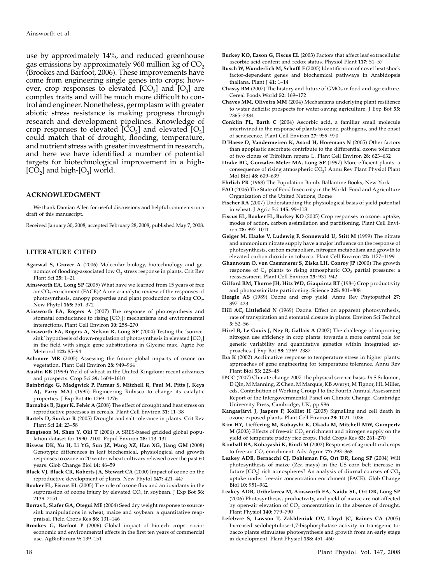use by approximately 14%, and reduced greenhouse gas emissions by approximately 960 million kg of  $CO<sub>2</sub>$ (Brookes and Barfoot, 2006). These improvements have come from engineering single genes into crops; however, crop responses to elevated  $[CO_2]$  and  $[O_3]$  are complex traits and will be much more difficult to control and engineer. Nonetheless, germplasm with greater abiotic stress resistance is making progress through research and development pipelines. Knowledge of crop responses to elevated  $[CO_2]$  and elevated  $[O_3]$ could match that of drought, flooding, temperature, and nutrient stress with greater investment in research, and here we have identified a number of potential targets for biotechnological improvement in a high-  $[CO<sub>2</sub>]$  and high- $[O<sub>3</sub>]$  world.

#### ACKNOWLEDGMENT

We thank Damian Allen for useful discussions and helpful comments on a draft of this manuscript.

Received January 30, 2008; accepted February 28, 2008; published May 7, 2008.

#### LITERATURE CITED

- Agarwal S, Grover A (2006) Molecular biology, biotechnology and genomics of flooding-associated low  $O_2$  stress response in plants. Crit Rev Plant Sci 25: 1–21
- Ainsworth EA, Long SP (2005) What have we learned from 15 years of free air CO<sub>2</sub> enrichment (FACE)? A meta-analytic review of the responses of photosynthesis, canopy properties and plant production to rising  $CO<sub>2</sub>$ . New Phytol 165: 351–372
- Ainsworth EA, Rogers A (2007) The response of photosynthesis and stomatal conductance to rising  $[CO<sub>2</sub>]$ : mechanisms and environmental interactions. Plant Cell Environ 30: 258–270
- Ainsworth EA, Rogers A, Nelson R, Long SP (2004) Testing the 'sourcesink' hypothesis of down-regulation of photosynthesis in elevated [CO<sub>2</sub>] in the field with single gene substitutions in Glycine max. Agric For Meteorol 122: 85–94
- Ashmore MR (2005) Assessing the future global impacts of ozone on vegetation. Plant Cell Environ 28: 949–964
- Austin RB (1999) Yield of wheat in the United Kingdom: recent advances and prospects. Crop Sci 39: 1604–1610
- Bainbridge G, Madgwick P, Parmar S, Mitchell R, Paul M, Pitts J, Keys AJ, Parry MAJ (1995) Engineering Rubisco to change its catalytic properties. J Exp Bot 46: 1269–1276
- Barnabás B, Jäger K, Fehér A (2008) The effect of drought and heat stress on reproductive processes in cereals. Plant Cell Environ 31: 11–38
- Bartels D, Sunkar R (2005) Drought and salt tolerance in plants. Crit Rev Plant Sci 24: 23–58
- Bengtsson M, Shen Y, Oki T (2006) A SRES-based gridded global population dataset for 1990–2100. Popul Environ 28: 113–131
- Biswas DK, Xu H, Li YG, Sun JZ, Wang XZ, Han XG, Jiang GM (2008) Genotypic differences in leaf biochemical, physiological and growth responses to ozone in 20 winter wheat cultivars released over the past 60 years. Glob Change Biol 14: 46–59
- Black VJ, Black CR, Roberts JA, Stewart CA (2000) Impact of ozone on the reproductive development of plants. New Phytol 147: 421–447
- Booker FL, Fiscus EL (2005) The role of ozone flux and antioxidants in the suppression of ozone injury by elevated  $CO<sub>2</sub>$  in soybean. J Exp Bot 56: 2139–2151
- Borras L, Slafer GA, Otegui ME (2004) Seed dry weight response to sourcesink manipulations in wheat, maize and soybean: a quantitative reappraisal. Field Crops Res 86: 131–146
- Brookes G, Barfoot P (2006) Global impact of biotech crops: socioeconomic and environmental effects in the first ten years of commercial use. AgBioForum 9: 139–151
- Burkey KO, Eason G, Fiscus EL (2003) Factors that affect leaf extracellular ascorbic acid content and redox status. Physiol Plant 117: 51–57
- Busch W, Wunderlich M, Schoffl F (2005) Identification of novel heat shock factor-dependent genes and biochemical pathways in Arabidopsis thaliana. Plant J 41: 1–14
- Chassy BM (2007) The history and future of GMOs in food and agriculture. Cereal Foods World 52: 169–172
- Chaves MM, Oliveira MM (2004) Mechanisms underlying plant resilience to water deficits: prospects for water-saving agriculture. J Exp Bot 55: 2365–2384
- Conklin PL, Barth C (2004) Ascorbic acid, a familiar small molecule intertwined in the response of plants to ozone, pathogens, and the onset of senescence. Plant Cell Environ 27: 959–970
- D'Haese D, Vandermeiren K, Asard H, Horemans N (2005) Other factors than apoplastic ascorbate contribute to the differential ozone tolerance of two clones of Trifolium repens L. Plant Cell Environ 28: 623–632
- Drake BG, Gonzalez-Meler MA, Long SP (1997) More efficient plants: a consequence of rising atmospheric CO<sub>2</sub>? Annu Rev Plant Physiol Plant Mol Biol 48: 609–639
- Ehrlich PR (1968) The Population Bomb. Ballantine Books, New York
- FAO (2006) The State of Food Insecurity in the World. Food and Agriculture Organization of the United Nations, Rome
- Fischer RA (2007) Understanding the physiological basis of yield potential in wheat. J Agric Sci 145: 99–113
- Fiscus EL, Booker FL, Burkey KO (2005) Crop responses to ozone: uptake, modes of action, carbon assimilation and partitioning. Plant Cell Environ 28: 997–1011
- Geiger M, Haake V, Ludewig F, Sonnewald U, Stitt M (1999) The nitrate and ammonium nitrate supply have a major influence on the response of photosynthesis, carbon metabolism, nitrogen metabolism and growth to elevated carbon dioxide in tobacco. Plant Cell Environ 22: 1177–1199
- Ghannoum O, von Caemmerer S, Ziska LH, Conroy JP (2000) The growth response of  $C_4$  plants to rising atmospheric  $CO_2$  partial pressure: a reassessment. Plant Cell Environ 23: 931–942
- Gifford RM, Thorne JH, Hitz WD, Giaquinta RT (1984) Crop productivity and photoassimilate partitioning. Science 225: 801–808
- Heagle AS (1989) Ozone and crop yield. Annu Rev Phytopathol 27: 397–423
- Hill AC, Littlefield N (1969) Ozone. Effect on apparent photosynthesis, rate of transpiration and stomatal closure in plants. Environ Sci Technol 3: 52–56
- Hirel B, Le Gouis J, Ney B, Gallais A (2007) The challenge of improving nitrogen use efficiency in crop plants: towards a more central role for genetic variability and quantitative genetics within integrated approaches. J Exp Bot 58: 2369–2387
- Iba K (2002) Acclimative response to temperature stress in higher plants: approaches of gene engineering for temperature tolerance. Annu Rev Plant Biol 53: 225–45
- IPCC (2007) Climate change 2007: the physical science basis. In S Solomon, D Qin, M Manning, Z Chen, M Marquis, KB Averyt, M Tignor, HL Miller, eds, Contribution of Working Group I to the Fourth Annual Assessment Report of the Intergovernmental Panel on Climate Change. Cambridge University Press, Cambridge, UK, pp 996
- Kangasjärvi J, Jaspers P, Kollist H (2005) Signalling and cell death in ozone-exposed plants. Plant Cell Environ 28: 1021–1036
- Kim HY, Lieffering M, Kobayshi K, Okada M, Mitchell MW, Gumpertz  $M$  (2003) Effects of free-air  $CO<sub>2</sub>$  enrichment and nitrogen supply on the yield of temperate paddy rice crops. Field Crops Res 83: 261–270
- Kimball BA, Kobayashi K, Bindi M (2002) Responses of agricultural crops to free-air CO<sub>2</sub> enrichment. Adv Agron 77: 293-368
- Leakey ADB, Bernacchi CJ, Dohleman FG, Ort DR, Long SP (2004) Will photosynthesis of maize (Zea mays) in the US corn belt increase in future  $[CO<sub>2</sub>]$  rich atmospheres? An analysis of diurnal courses of  $CO<sub>2</sub>$ uptake under free-air concentration enrichment (FACE). Glob Change Biol 10: 951–962
- Leakey ADB, Uribelarrea M, Ainsworth EA, Naidu SL, Ort DR, Long SP (2006) Photosynthesis, productivity, and yield of maize are not affected by open-air elevation of  $CO<sub>2</sub>$  concentration in the absence of drought. Plant Physiol 140: 779–790
- Lefebvre S, Lawson T, Zakhleniuk OV, Lloyd JC, Raines CA (2005) Increased sedoheptulose-1,7-bisphosphatase activity in transgenic tobacco plants stimulates photosynthesis and growth from an early stage in development. Plant Physiol 138: 451–460